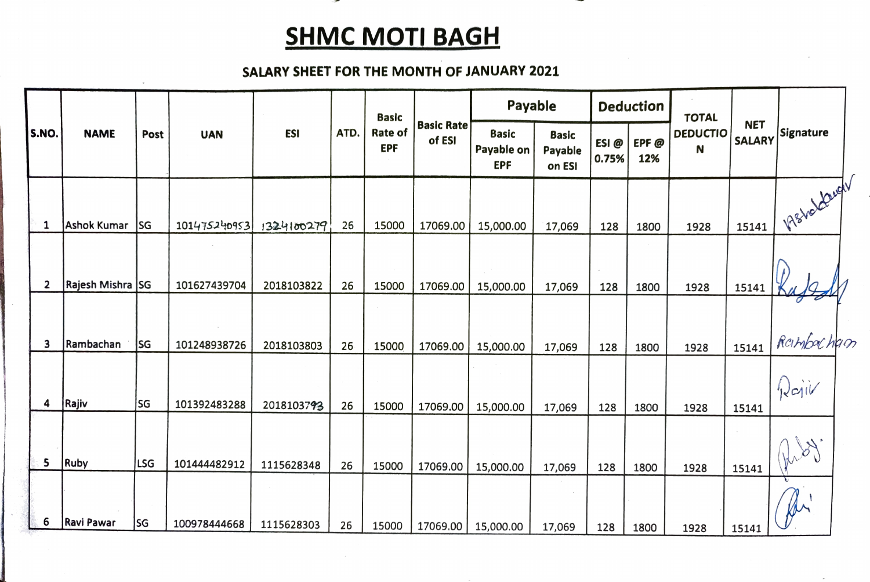## **SHMC MOTI BAGH**

## SALARY SHEET FOR THE MONTH OF JANUARY 2021

| S.NO.          | <b>NAME</b>        |            | <b>UAN</b>   | <b>ESI</b> | ATD. | <b>Basic</b><br>Rate of<br><b>EPF</b> | <b>Basic Rate</b><br>of ESI | Payable                                  |                                   | <b>Deduction</b> |             | <b>TOTAL</b>         |                             |                 |
|----------------|--------------------|------------|--------------|------------|------|---------------------------------------|-----------------------------|------------------------------------------|-----------------------------------|------------------|-------------|----------------------|-----------------------------|-----------------|
|                |                    | Post       |              |            |      |                                       |                             | <b>Basic</b><br>Payable on<br><b>EPF</b> | <b>Basic</b><br>Payable<br>on ESI | ESI@<br>0.75%    | EPF@<br>12% | <b>DEDUCTIO</b><br>N | <b>NET</b><br><b>SALARY</b> | Signature       |
| $\mathbf{1}$   | <b>Ashok Kumar</b> | <b>SG</b>  | 101475240953 | 1324100279 | 26   | 15000                                 | 17069.00                    | 15,000.00                                | 17,069                            | 128              | 1800        | 1928                 | 15141                       | 1 198200 Levely |
| $\overline{2}$ | Rajesh Mishra SG   |            | 101627439704 | 2018103822 | 26   | 15000                                 | 17069.00                    | 15,000.00                                | 17,069                            | 128              | 1800        | 1928                 | 15141                       |                 |
| 3              | Rambachan          | SG         | 101248938726 | 2018103803 | 26   | 15000                                 | 17069.00                    | 15,000.00                                | 17,069                            | 128              | 1800        | 1928                 | 15141                       | Rambocham       |
| 4              | Rajiv              | SG         | 101392483288 | 2018103793 | 26   | 15000                                 | 17069.00                    | 15,000.00                                | 17,069                            | 128              | 1800        | 1928                 | 15141                       | Rajiv           |
| 5              | Ruby               | <b>LSG</b> | 101444482912 | 1115628348 | 26   | 15000                                 | 17069.00                    | 15,000.00                                | 17,069                            | 128              | 1800        | 1928                 | 15141                       | M'              |
| 6              | <b>Ravi Pawar</b>  | lsg        | 100978444668 | 1115628303 | 26   | 15000                                 | 17069.00                    | 15,000.00                                | 17,069                            | 128              | 1800        | 1928                 | 15141                       | for             |